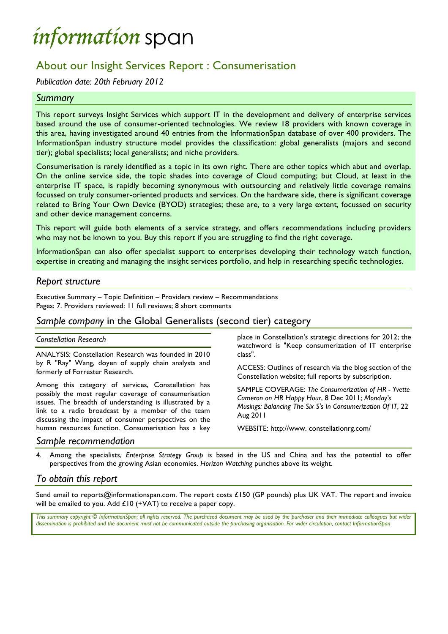# *information* span

## About our Insight Services Report : Consumerisation

*Publication date: 20th February 2012*

### *Summary*

This report surveys Insight Services which support IT in the development and delivery of enterprise services based around the use of consumer-oriented technologies. We review 18 providers with known coverage in this area, having investigated around 40 entries from the InformationSpan database of over 400 providers. The InformationSpan industry structure model provides the classification: global generalists (majors and second tier); global specialists; local generalists; and niche providers.

Consumerisation is rarely identified as a topic in its own right. There are other topics which abut and overlap. On the online service side, the topic shades into coverage of Cloud computing; but Cloud, at least in the enterprise IT space, is rapidly becoming synonymous with outsourcing and relatively little coverage remains focussed on truly consumer-oriented products and services. On the hardware side, there is significant coverage related to Bring Your Own Device (BYOD) strategies; these are, to a very large extent, focussed on security and other device management concerns.

This report will guide both elements of a service strategy, and offers recommendations including providers who may not be known to you. Buy this report if you are struggling to find the right coverage.

InformationSpan can also offer specialist support to enterprises developing their technology watch function, expertise in creating and managing the insight services portfolio, and help in researching specific technologies.

### *Report structure*

Executive Summary – Topic Definition – Providers review – Recommendations Pages: 7. Providers reviewed: 11 full reviews; 8 short comments

## *Sample company* in the Global Generalists (second tier) category

#### *Constellation Research*

ANALYSIS: Constellation Research was founded in 2010 by R "Ray" Wang, doyen of supply chain analysts and formerly of Forrester Research.

Among this category of services, Constellation has possibly the most regular coverage of consumerisation issues. The breadth of understanding is illustrated by a link to a radio broadcast by a member of the team discussing the impact of consumer perspectives on the human resources function. Consumerisation has a key

place in Constellation's strategic directions for 2012; the watchword is "Keep consumerization of IT enterprise class".

ACCESS: Outlines of research via the blog section of the Constellation website; full reports by subscription.

SAMPLE COVERAGE: *The Consumerization of HR - Yvette Cameron on HR Happy Hour*, 8 Dec 2011; *Monday's Musings: Balancing The Six S's In Consumerization Of IT*, 22 Aug 2011

WEBSITE: http://www. constellationrg.com/

#### *Sample recommendation*

4. Among the specialists, *Enterprise Strategy Group* is based in the US and China and has the potential to offer perspectives from the growing Asian economies. *Horizon Watching* punches above its weight.

### *To obtain this report*

Send email to reports@informationspan.com. The report costs £150 (GP pounds) plus UK VAT. The report and invoice will be emailed to you. Add £10 (+VAT) to receive a paper copy.

This summary copyright © InformationSpan; all rights reserved. The purchased document may be used by the purchaser and their immediate colleagues but wider *dissemination is prohibited and the document must not be communicated outside the purchasing organisation. For wider circulation, contact InformationSpan*